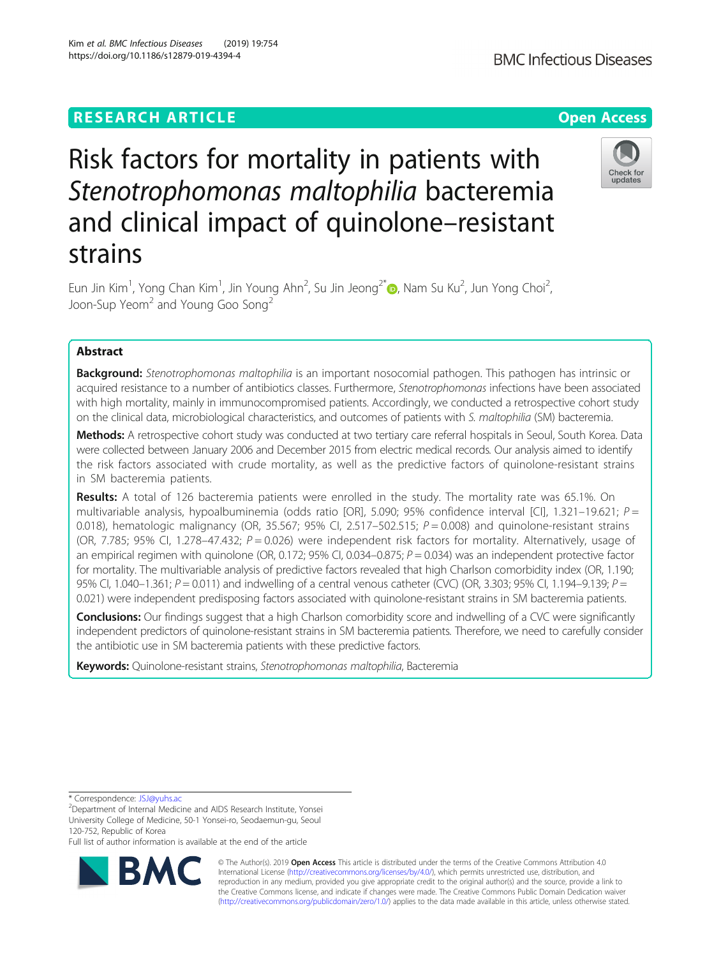# **RESEARCH ARTICLE Example 2018 12:30 The Contract of Contract Contract Open Access**

# Risk factors for mortality in patients with Stenotrophomonas maltophilia bacteremia and clinical impact of quinolone–resistant strains

Eun Jin Kim<sup>1</sup>, Yong Chan Kim<sup>1</sup>, Jin Young Ahn<sup>2</sup>, Su Jin Jeong<sup>2\*</sup>®, Nam Su Ku<sup>2</sup>, Jun Yong Choi<sup>2</sup> , Joon-Sup Yeom<sup>2</sup> and Young Goo Song<sup>2</sup>

# Abstract

**Background:** Stenotrophomonas maltophilia is an important nosocomial pathogen. This pathogen has intrinsic or acquired resistance to a number of antibiotics classes. Furthermore, Stenotrophomonas infections have been associated with high mortality, mainly in immunocompromised patients. Accordingly, we conducted a retrospective cohort study on the clinical data, microbiological characteristics, and outcomes of patients with S. maltophilia (SM) bacteremia.

Methods: A retrospective cohort study was conducted at two tertiary care referral hospitals in Seoul, South Korea. Data were collected between January 2006 and December 2015 from electric medical records. Our analysis aimed to identify the risk factors associated with crude mortality, as well as the predictive factors of quinolone-resistant strains in SM bacteremia patients.

Results: A total of 126 bacteremia patients were enrolled in the study. The mortality rate was 65.1%. On multivariable analysis, hypoalbuminemia (odds ratio [OR], 5.090; 95% confidence interval [CI], 1.321-19.621;  $P =$ 0.018), hematologic malignancy (OR, 35.567; 95% CI, 2.517–502.515;  $P = 0.008$ ) and quinolone-resistant strains (OR, 7.785; 95% CI, 1.278–47.432;  $P = 0.026$ ) were independent risk factors for mortality. Alternatively, usage of an empirical regimen with quinolone (OR, 0.172; 95% CI, 0.034–0.875;  $P = 0.034$ ) was an independent protective factor for mortality. The multivariable analysis of predictive factors revealed that high Charlson comorbidity index (OR, 1.190; 95% CI, 1.040–1.361;  $P = 0.011$ ) and indwelling of a central venous catheter (CVC) (OR, 3.303; 95% CI, 1.194–9.139;  $P =$ 0.021) were independent predisposing factors associated with quinolone-resistant strains in SM bacteremia patients.

Conclusions: Our findings suggest that a high Charlson comorbidity score and indwelling of a CVC were significantly independent predictors of quinolone-resistant strains in SM bacteremia patients. Therefore, we need to carefully consider the antibiotic use in SM bacteremia patients with these predictive factors.

Keywords: Quinolone-resistant strains, Stenotrophomonas maltophilia, Bacteremia

\* Correspondence: [JSJ@yuhs.ac](mailto:JSJ@yuhs.ac) <sup>2</sup>

BΛ

Full list of author information is available at the end of the article







Department of Internal Medicine and AIDS Research Institute, Yonsei University College of Medicine, 50-1 Yonsei-ro, Seodaemun-gu, Seoul 120-752, Republic of Korea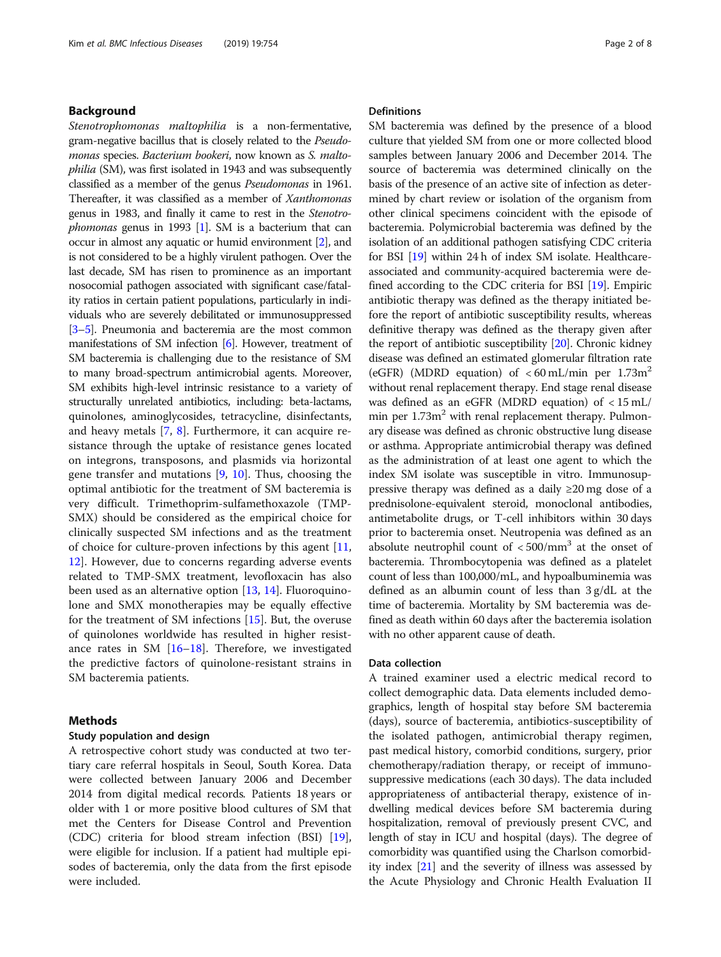# Background

Stenotrophomonas maltophilia is a non-fermentative, gram-negative bacillus that is closely related to the Pseudomonas species. Bacterium bookeri, now known as S. maltophilia (SM), was first isolated in 1943 and was subsequently classified as a member of the genus Pseudomonas in 1961. Thereafter, it was classified as a member of Xanthomonas genus in 1983, and finally it came to rest in the Stenotro*phomonas* genus in [1](#page-7-0)993  $[1]$ . SM is a bacterium that can occur in almost any aquatic or humid environment [\[2](#page-7-0)], and is not considered to be a highly virulent pathogen. Over the last decade, SM has risen to prominence as an important nosocomial pathogen associated with significant case/fatality ratios in certain patient populations, particularly in individuals who are severely debilitated or immunosuppressed [[3](#page-7-0)–[5\]](#page-7-0). Pneumonia and bacteremia are the most common manifestations of SM infection [[6](#page-7-0)]. However, treatment of SM bacteremia is challenging due to the resistance of SM to many broad-spectrum antimicrobial agents. Moreover, SM exhibits high-level intrinsic resistance to a variety of structurally unrelated antibiotics, including: beta-lactams, quinolones, aminoglycosides, tetracycline, disinfectants, and heavy metals [\[7](#page-7-0), [8\]](#page-7-0). Furthermore, it can acquire resistance through the uptake of resistance genes located on integrons, transposons, and plasmids via horizontal gene transfer and mutations [\[9](#page-7-0), [10\]](#page-7-0). Thus, choosing the optimal antibiotic for the treatment of SM bacteremia is very difficult. Trimethoprim-sulfamethoxazole (TMP-SMX) should be considered as the empirical choice for clinically suspected SM infections and as the treatment of choice for culture-proven infections by this agent [[11](#page-7-0), [12\]](#page-7-0). However, due to concerns regarding adverse events related to TMP-SMX treatment, levofloxacin has also been used as an alternative option [\[13,](#page-7-0) [14\]](#page-7-0). Fluoroquinolone and SMX monotherapies may be equally effective for the treatment of SM infections [\[15](#page-7-0)]. But, the overuse of quinolones worldwide has resulted in higher resistance rates in SM  $[16–18]$  $[16–18]$  $[16–18]$ . Therefore, we investigated the predictive factors of quinolone-resistant strains in SM bacteremia patients.

# Methods

#### Study population and design

A retrospective cohort study was conducted at two tertiary care referral hospitals in Seoul, South Korea. Data were collected between January 2006 and December 2014 from digital medical records. Patients 18 years or older with 1 or more positive blood cultures of SM that met the Centers for Disease Control and Prevention (CDC) criteria for blood stream infection (BSI) [\[19](#page-7-0)], were eligible for inclusion. If a patient had multiple episodes of bacteremia, only the data from the first episode were included.

# Definitions

SM bacteremia was defined by the presence of a blood culture that yielded SM from one or more collected blood samples between January 2006 and December 2014. The source of bacteremia was determined clinically on the basis of the presence of an active site of infection as determined by chart review or isolation of the organism from other clinical specimens coincident with the episode of bacteremia. Polymicrobial bacteremia was defined by the isolation of an additional pathogen satisfying CDC criteria for BSI [\[19\]](#page-7-0) within 24 h of index SM isolate. Healthcareassociated and community-acquired bacteremia were defined according to the CDC criteria for BSI [[19](#page-7-0)]. Empiric antibiotic therapy was defined as the therapy initiated before the report of antibiotic susceptibility results, whereas definitive therapy was defined as the therapy given after the report of antibiotic susceptibility [\[20\]](#page-7-0). Chronic kidney disease was defined an estimated glomerular filtration rate (eGFR) (MDRD equation) of  $< 60$  mL/min per 1.73m<sup>2</sup> without renal replacement therapy. End stage renal disease was defined as an eGFR (MDRD equation) of < 15 mL/ min per  $1.73m<sup>2</sup>$  with renal replacement therapy. Pulmonary disease was defined as chronic obstructive lung disease or asthma. Appropriate antimicrobial therapy was defined as the administration of at least one agent to which the index SM isolate was susceptible in vitro. Immunosuppressive therapy was defined as a daily  $\geq 20$  mg dose of a prednisolone-equivalent steroid, monoclonal antibodies, antimetabolite drugs, or T-cell inhibitors within 30 days prior to bacteremia onset. Neutropenia was defined as an absolute neutrophil count of  $<$  500/mm<sup>3</sup> at the onset of bacteremia. Thrombocytopenia was defined as a platelet count of less than 100,000/mL, and hypoalbuminemia was defined as an albumin count of less than 3 g/dL at the time of bacteremia. Mortality by SM bacteremia was defined as death within 60 days after the bacteremia isolation with no other apparent cause of death.

#### Data collection

A trained examiner used a electric medical record to collect demographic data. Data elements included demographics, length of hospital stay before SM bacteremia (days), source of bacteremia, antibiotics-susceptibility of the isolated pathogen, antimicrobial therapy regimen, past medical history, comorbid conditions, surgery, prior chemotherapy/radiation therapy, or receipt of immunosuppressive medications (each 30 days). The data included appropriateness of antibacterial therapy, existence of indwelling medical devices before SM bacteremia during hospitalization, removal of previously present CVC, and length of stay in ICU and hospital (days). The degree of comorbidity was quantified using the Charlson comorbidity index [[21](#page-7-0)] and the severity of illness was assessed by the Acute Physiology and Chronic Health Evaluation II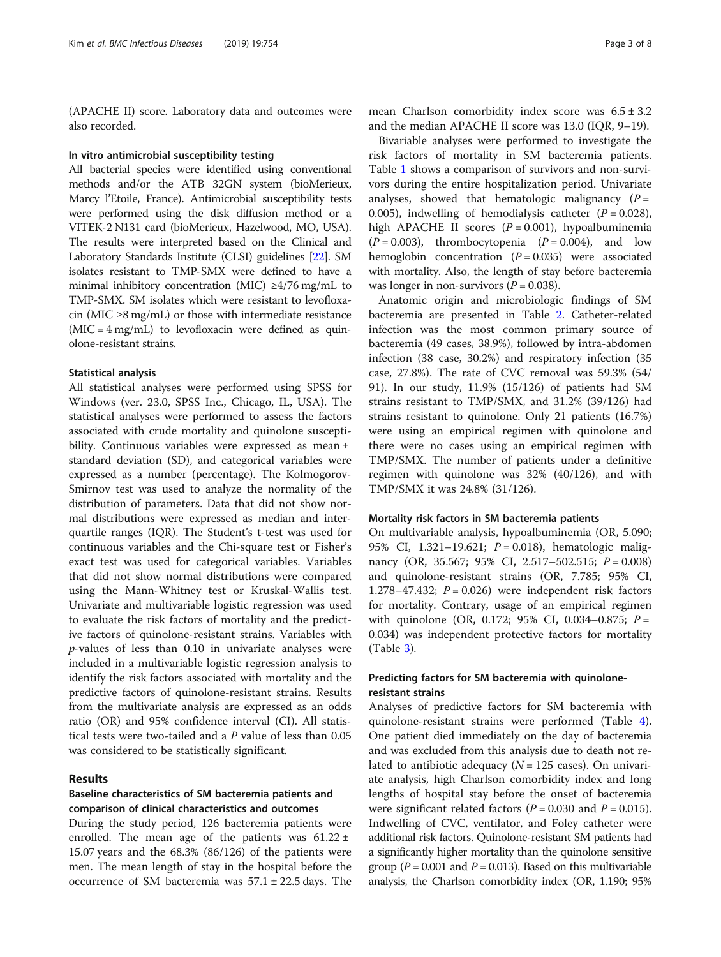(APACHE II) score. Laboratory data and outcomes were also recorded.

#### In vitro antimicrobial susceptibility testing

All bacterial species were identified using conventional methods and/or the ATB 32GN system (bioMerieux, Marcy l'Etoile, France). Antimicrobial susceptibility tests were performed using the disk diffusion method or a VITEK-2 N131 card (bioMerieux, Hazelwood, MO, USA). The results were interpreted based on the Clinical and Laboratory Standards Institute (CLSI) guidelines [\[22\]](#page-7-0). SM isolates resistant to TMP-SMX were defined to have a minimal inhibitory concentration (MIC) ≥4/76 mg/mL to TMP-SMX. SM isolates which were resistant to levofloxacin (MIC  $\geq$ 8 mg/mL) or those with intermediate resistance (MIC = 4 mg/mL) to levofloxacin were defined as quinolone-resistant strains.

#### Statistical analysis

All statistical analyses were performed using SPSS for Windows (ver. 23.0, SPSS Inc., Chicago, IL, USA). The statistical analyses were performed to assess the factors associated with crude mortality and quinolone susceptibility. Continuous variables were expressed as mean ± standard deviation (SD), and categorical variables were expressed as a number (percentage). The Kolmogorov-Smirnov test was used to analyze the normality of the distribution of parameters. Data that did not show normal distributions were expressed as median and interquartile ranges (IQR). The Student's t-test was used for continuous variables and the Chi-square test or Fisher's exact test was used for categorical variables. Variables that did not show normal distributions were compared using the Mann-Whitney test or Kruskal-Wallis test. Univariate and multivariable logistic regression was used to evaluate the risk factors of mortality and the predictive factors of quinolone-resistant strains. Variables with  $p$ -values of less than 0.10 in univariate analyses were included in a multivariable logistic regression analysis to identify the risk factors associated with mortality and the predictive factors of quinolone-resistant strains. Results from the multivariate analysis are expressed as an odds ratio (OR) and 95% confidence interval (CI). All statistical tests were two-tailed and a P value of less than 0.05 was considered to be statistically significant.

#### Results

# Baseline characteristics of SM bacteremia patients and comparison of clinical characteristics and outcomes

During the study period, 126 bacteremia patients were enrolled. The mean age of the patients was  $61.22 \pm$ 15.07 years and the 68.3% (86/126) of the patients were men. The mean length of stay in the hospital before the occurrence of SM bacteremia was  $57.1 \pm 22.5$  days. The

mean Charlson comorbidity index score was  $6.5 \pm 3.2$ and the median APACHE II score was 13.0 (IQR, 9–19).

Bivariable analyses were performed to investigate the risk factors of mortality in SM bacteremia patients. Table [1](#page-3-0) shows a comparison of survivors and non-survivors during the entire hospitalization period. Univariate analyses, showed that hematologic malignancy  $(P =$ 0.005), indwelling of hemodialysis catheter  $(P = 0.028)$ , high APACHE II scores  $(P = 0.001)$ , hypoalbuminemia  $(P = 0.003)$ , thrombocytopenia  $(P = 0.004)$ , and low hemoglobin concentration  $(P = 0.035)$  were associated with mortality. Also, the length of stay before bacteremia was longer in non-survivors ( $P = 0.038$ ).

Anatomic origin and microbiologic findings of SM bacteremia are presented in Table [2](#page-4-0). Catheter-related infection was the most common primary source of bacteremia (49 cases, 38.9%), followed by intra-abdomen infection (38 case, 30.2%) and respiratory infection (35 case, 27.8%). The rate of CVC removal was 59.3% (54/ 91). In our study, 11.9% (15/126) of patients had SM strains resistant to TMP/SMX, and 31.2% (39/126) had strains resistant to quinolone. Only 21 patients (16.7%) were using an empirical regimen with quinolone and there were no cases using an empirical regimen with TMP/SMX. The number of patients under a definitive regimen with quinolone was 32% (40/126), and with TMP/SMX it was 24.8% (31/126).

#### Mortality risk factors in SM bacteremia patients

On multivariable analysis, hypoalbuminemia (OR, 5.090; 95% CI, 1.321-19.621; *P* = 0.018), hematologic malignancy (OR, 35.567; 95% CI, 2.517–502.515;  $P = 0.008$ ) and quinolone-resistant strains (OR, 7.785; 95% CI, 1.278–47.432;  $P = 0.026$ ) were independent risk factors for mortality. Contrary, usage of an empirical regimen with quinolone (OR, 0.172; 95% CI, 0.034-0.875;  $P =$ 0.034) was independent protective factors for mortality (Table [3\)](#page-4-0).

# Predicting factors for SM bacteremia with quinoloneresistant strains

Analyses of predictive factors for SM bacteremia with quinolone-resistant strains were performed (Table [4](#page-5-0)). One patient died immediately on the day of bacteremia and was excluded from this analysis due to death not related to antibiotic adequacy ( $N = 125$  cases). On univariate analysis, high Charlson comorbidity index and long lengths of hospital stay before the onset of bacteremia were significant related factors ( $P = 0.030$  and  $P = 0.015$ ). Indwelling of CVC, ventilator, and Foley catheter were additional risk factors. Quinolone-resistant SM patients had a significantly higher mortality than the quinolone sensitive group ( $P = 0.001$  and  $P = 0.013$ ). Based on this multivariable analysis, the Charlson comorbidity index (OR, 1.190; 95%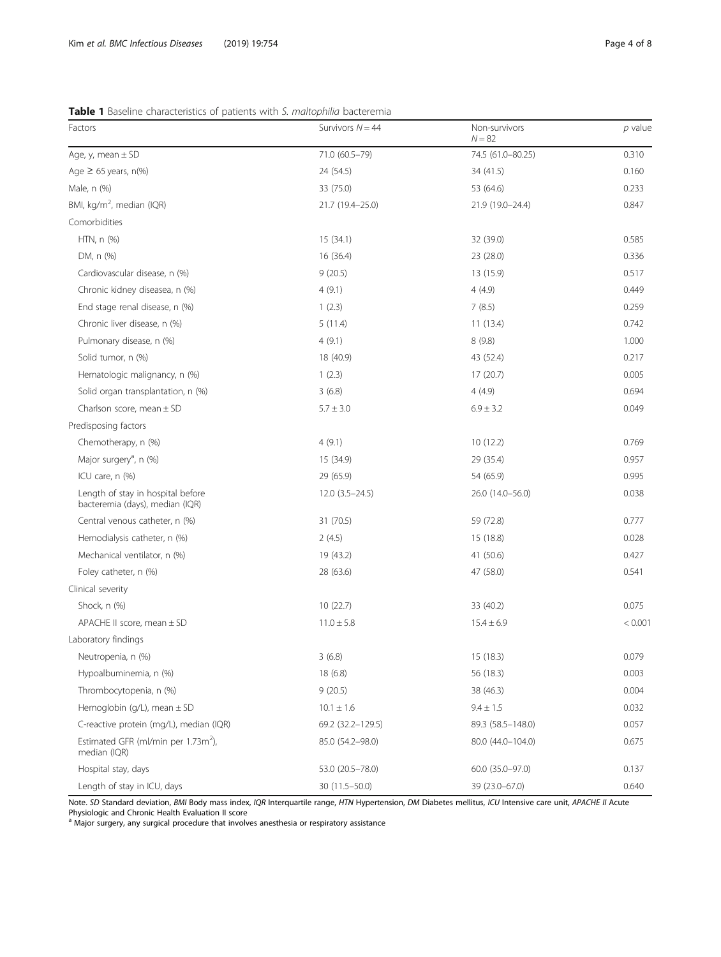# <span id="page-3-0"></span>Table 1 Baseline characteristics of patients with S. maltophilia bacteremia

| Factors                                                              | Survivors $N = 44$ | Non-survivors<br>$N = 82$ | $p$ value |
|----------------------------------------------------------------------|--------------------|---------------------------|-----------|
| Age, y, mean $\pm$ SD                                                | 71.0 (60.5-79)     | 74.5 (61.0-80.25)         | 0.310     |
| Age $\geq$ 65 years, n(%)                                            | 24 (54.5)          | 34(41.5)                  | 0.160     |
| Male, n (%)                                                          | 33 (75.0)          | 53 (64.6)                 | 0.233     |
| BMI, kg/m <sup>2</sup> , median (IQR)                                | 21.7 (19.4-25.0)   | 21.9 (19.0-24.4)          | 0.847     |
| Comorbidities                                                        |                    |                           |           |
| HTN, n (%)                                                           | 15(34.1)           | 32 (39.0)                 | 0.585     |
| DM, n (%)                                                            | 16 (36.4)          | 23 (28.0)                 | 0.336     |
| Cardiovascular disease, n (%)                                        | 9(20.5)            | 13 (15.9)                 | 0.517     |
| Chronic kidney diseasea, n (%)                                       | 4(9.1)             | 4(4.9)                    | 0.449     |
| End stage renal disease, n (%)                                       | 1(2.3)             | 7(8.5)                    | 0.259     |
| Chronic liver disease, n (%)                                         | 5(11.4)            | 11(13.4)                  | 0.742     |
| Pulmonary disease, n (%)                                             | 4(9.1)             | 8(9.8)                    | 1.000     |
| Solid tumor, n (%)                                                   | 18 (40.9)          | 43 (52.4)                 | 0.217     |
| Hematologic malignancy, n (%)                                        | 1(2.3)             | 17(20.7)                  | 0.005     |
| Solid organ transplantation, n (%)                                   | 3(6.8)             | 4(4.9)                    | 0.694     |
| Charlson score, mean $\pm$ SD                                        | $5.7 \pm 3.0$      | $6.9 \pm 3.2$             | 0.049     |
| Predisposing factors                                                 |                    |                           |           |
| Chemotherapy, n (%)                                                  | 4(9.1)             | 10(12.2)                  | 0.769     |
| Major surgery <sup>a</sup> , n (%)                                   | 15 (34.9)          | 29 (35.4)                 | 0.957     |
| ICU care, n (%)                                                      | 29 (65.9)          | 54 (65.9)                 | 0.995     |
| Length of stay in hospital before<br>bacteremia (days), median (IQR) | $12.0(3.5-24.5)$   | 26.0 (14.0-56.0)          | 0.038     |
| Central venous catheter, n (%)                                       | 31 (70.5)          | 59 (72.8)                 | 0.777     |
| Hemodialysis catheter, n (%)                                         | 2(4.5)             | 15 (18.8)                 | 0.028     |
| Mechanical ventilator, n (%)                                         | 19 (43.2)          | 41 (50.6)                 | 0.427     |
| Foley catheter, n (%)                                                | 28 (63.6)          | 47 (58.0)                 | 0.541     |
| Clinical severity                                                    |                    |                           |           |
| Shock, n (%)                                                         | 10 (22.7)          | 33 (40.2)                 | 0.075     |
| APACHE II score, mean $\pm$ SD                                       | $11.0 \pm 5.8$     | $15.4 \pm 6.9$            | < 0.001   |
| Laboratory findings                                                  |                    |                           |           |
| Neutropenia, n (%)                                                   | 3(6.8)             | 15 (18.3)                 | 0.079     |
| Hypoalbuminemia, n (%)                                               | 18 (6.8)           | 56 (18.3)                 | 0.003     |
| Thrombocytopenia, n (%)                                              | 9(20.5)            | 38 (46.3)                 | 0.004     |
| Hemoglobin (g/L), mean $\pm$ SD                                      | $10.1 \pm 1.6$     | $9.4 \pm 1.5$             | 0.032     |
| C-reactive protein (mg/L), median (IQR)                              | 69.2 (32.2-129.5)  | 89.3 (58.5 - 148.0)       | 0.057     |
| Estimated GFR (ml/min per 1.73m <sup>2</sup> ),<br>median (IQR)      | 85.0 (54.2-98.0)   | 80.0 (44.0-104.0)         | 0.675     |
| Hospital stay, days                                                  | 53.0 (20.5-78.0)   | 60.0 (35.0-97.0)          | 0.137     |
| Length of stay in ICU, days                                          | 30 (11.5-50.0)     | 39 (23.0-67.0)            | 0.640     |

Note. SD Standard deviation, BMI Body mass index, IQR Interquartile range, HTN Hypertension, DM Diabetes mellitus, ICU Intensive care unit, APACHE II Acute Physiologic and Chronic Health Evaluation II score<br><sup>a</sup> Major surgery, any surgical procedure that involves anesthesia or respiratory assistance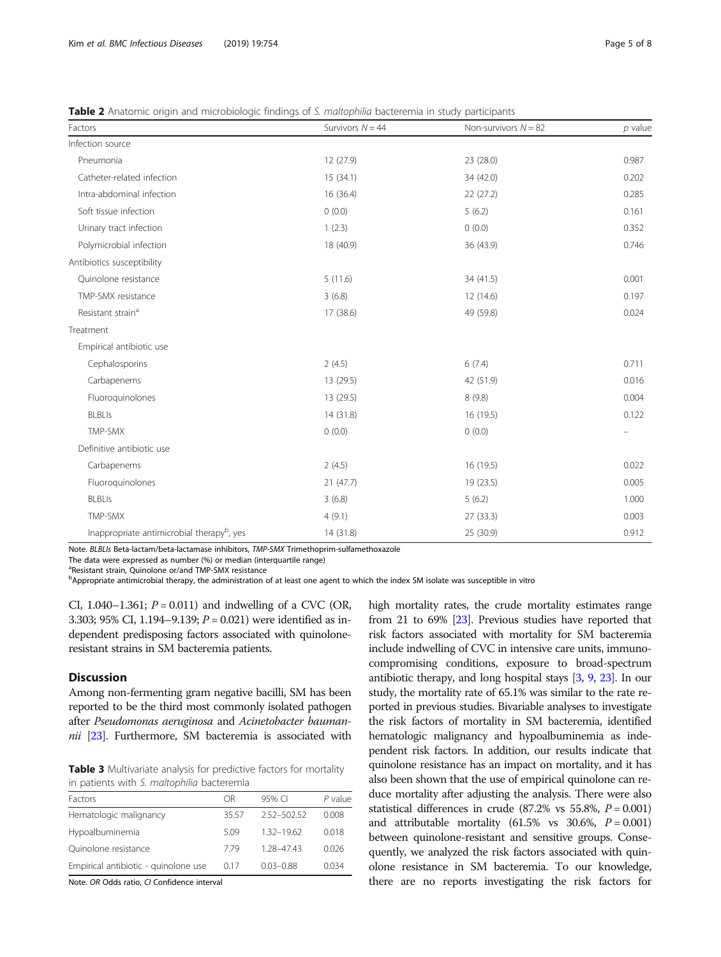<span id="page-4-0"></span>

| Table 2 Anatomic origin and microbiologic findings of S. maltophilia bacteremia in study participants |  |  |  |                                                                                                                 |  |
|-------------------------------------------------------------------------------------------------------|--|--|--|-----------------------------------------------------------------------------------------------------------------|--|
|                                                                                                       |  |  |  | the contract of the contract of the contract of the contract of the contract of the contract of the contract of |  |

| Factors                                                | Survivors $N = 44$ | Non-survivors $N = 82$ | $p$ value |  |
|--------------------------------------------------------|--------------------|------------------------|-----------|--|
| Infection source                                       |                    |                        |           |  |
| Pneumonia                                              | 12 (27.9)          | 23 (28.0)              | 0.987     |  |
| Catheter-related infection                             | 15(34.1)           | 34 (42.0)              | 0.202     |  |
| Intra-abdominal infection                              | 16 (36.4)          | 22(27.2)               | 0.285     |  |
| Soft tissue infection                                  | 0(0.0)             | 5(6.2)                 | 0.161     |  |
| Urinary tract infection                                | 1(2.3)             | 0(0.0)                 | 0.352     |  |
| Polymicrobial infection                                | 18 (40.9)          | 36 (43.9)              | 0.746     |  |
| Antibiotics susceptibility                             |                    |                        |           |  |
| Quinolone resistance                                   | 5(11.6)            | 34 (41.5)              | 0.001     |  |
| TMP-SMX resistance                                     | 3(6.8)             | 12 (14.6)              | 0.197     |  |
| Resistant strain <sup>a</sup>                          | 17 (38.6)          | 49 (59.8)              | 0.024     |  |
| Treatment                                              |                    |                        |           |  |
| Empirical antibiotic use                               |                    |                        |           |  |
| Cephalosporins                                         | 2(4.5)             | 6(7.4)                 | 0.711     |  |
| Carbapenems                                            | 13 (29.5)          | 42 (51.9)              | 0.016     |  |
| Fluoroquinolones                                       | 13 (29.5)          | 8(9.8)                 | 0.004     |  |
| <b>BLBLIs</b>                                          | 14(31.8)           | 16 (19.5)              | 0.122     |  |
| TMP-SMX                                                | 0(0.0)             | 0(0.0)                 |           |  |
| Definitive antibiotic use                              |                    |                        |           |  |
| Carbapenems                                            | 2(4.5)             | 16 (19.5)              | 0.022     |  |
| Fluoroquinolones                                       | 21(47.7)           | 19 (23.5)              | 0.005     |  |
| <b>BLBLIs</b>                                          | 3(6.8)             | 5(6.2)                 | 1.000     |  |
| TMP-SMX                                                | 4(9.1)             | 27(33.3)               | 0.003     |  |
| Inappropriate antimicrobial therapy <sup>b</sup> , yes | 14 (31.8)          | 25 (30.9)              | 0.912     |  |

Note. BLBLIs Beta-lactam/beta-lactamase inhibitors, TMP-SMX Trimethoprim-sulfamethoxazole

The data were expressed as number (%) or median (interquartile range)

<sup>a</sup>Resistant strain, Quinolone or/and TMP-SMX resistance

b<br> **PAppropriate antimicrobial therapy, the administration of at least one agent to which the index SM isolate was susceptible in vitro** 

CI, 1.040–1.361;  $P = 0.011$ ) and indwelling of a CVC (OR, 3.303; 95% CI, 1.194-9.139;  $P = 0.021$ ) were identified as independent predisposing factors associated with quinoloneresistant strains in SM bacteremia patients.

# **Discussion**

Among non-fermenting gram negative bacilli, SM has been reported to be the third most commonly isolated pathogen after Pseudomonas aeruginosa and Acinetobacter baumannii  $[23]$  $[23]$ . Furthermore, SM bacteremia is associated with

**Table 3** Multivariate analysis for predictive factors for mortality in patients with S. maltophilia bacteremia

| Factors                              | ΩR    | 95% CI        | $P$ value |
|--------------------------------------|-------|---------------|-----------|
| Hematologic malignancy               | 35.57 | 2.52-502.52   | 0.008     |
| Hypoalbuminemia                      | 5.09  | 132-1962      | 0.018     |
| Quinolone resistance                 | 779   | 1.28-47.43    | 0.026     |
| Empirical antibiotic - quinolone use | 0.17  | $0.03 - 0.88$ | 0.034     |

Note. OR Odds ratio, CI Confidence interval

high mortality rates, the crude mortality estimates range from 21 to 69% [[23](#page-7-0)]. Previous studies have reported that risk factors associated with mortality for SM bacteremia include indwelling of CVC in intensive care units, immunocompromising conditions, exposure to broad-spectrum antibiotic therapy, and long hospital stays [[3](#page-7-0), [9](#page-7-0), [23](#page-7-0)]. In our study, the mortality rate of 65.1% was similar to the rate reported in previous studies. Bivariable analyses to investigate the risk factors of mortality in SM bacteremia, identified hematologic malignancy and hypoalbuminemia as independent risk factors. In addition, our results indicate that quinolone resistance has an impact on mortality, and it has also been shown that the use of empirical quinolone can reduce mortality after adjusting the analysis. There were also statistical differences in crude (87.2% vs 55.8%,  $P = 0.001$ ) and attributable mortality  $(61.5\% \text{ vs } 30.6\%, P = 0.001)$ between quinolone-resistant and sensitive groups. Consequently, we analyzed the risk factors associated with quinolone resistance in SM bacteremia. To our knowledge, there are no reports investigating the risk factors for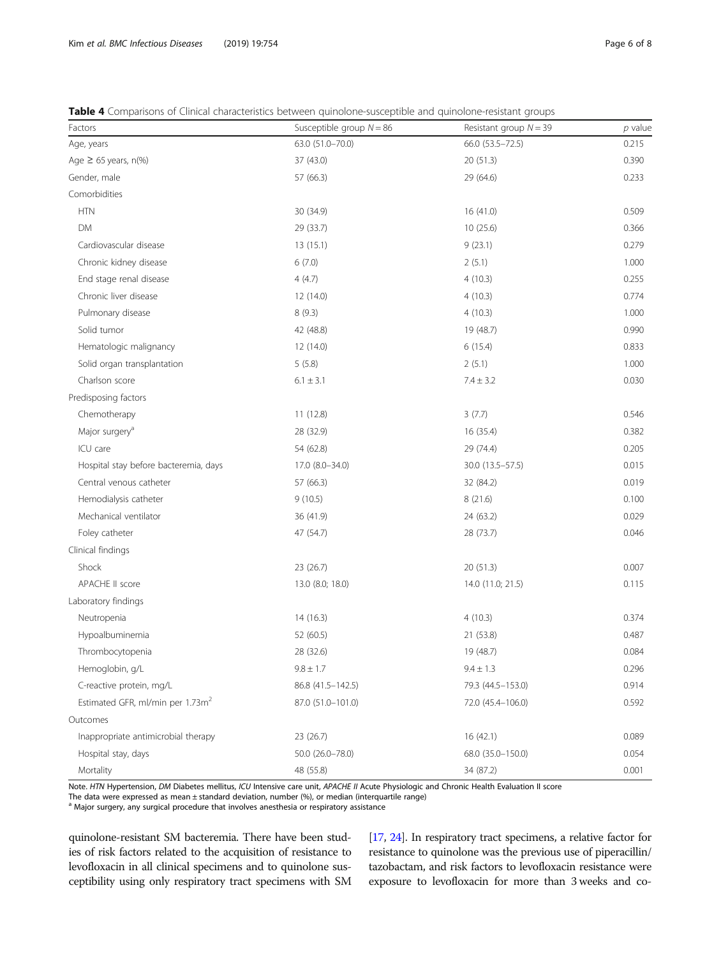<span id="page-5-0"></span>

| <b>Table 4</b> Comparisons of Clinical characteristics between quinolone-susceptible and quinolone-resistant groups |  |
|---------------------------------------------------------------------------------------------------------------------|--|
|---------------------------------------------------------------------------------------------------------------------|--|

| Factors                                      | Susceptible group $N = 86$ | Resistant group $N = 39$ | $p$ value |
|----------------------------------------------|----------------------------|--------------------------|-----------|
| Age, years                                   | 63.0 (51.0-70.0)           | 66.0 (53.5-72.5)         | 0.215     |
| Age $\geq$ 65 years, n(%)                    | 37 (43.0)                  | 20 (51.3)                | 0.390     |
| Gender, male                                 | 57 (66.3)                  | 29 (64.6)                | 0.233     |
| Comorbidities                                |                            |                          |           |
| <b>HTN</b>                                   | 30 (34.9)                  | 16 (41.0)                | 0.509     |
| DM                                           | 29 (33.7)                  | 10 (25.6)                | 0.366     |
| Cardiovascular disease                       | 13(15.1)                   | 9(23.1)                  | 0.279     |
| Chronic kidney disease                       | 6(7.0)                     | 2(5.1)                   | 1.000     |
| End stage renal disease                      | 4(4.7)                     | 4(10.3)                  | 0.255     |
| Chronic liver disease                        | 12(14.0)                   | 4(10.3)                  | 0.774     |
| Pulmonary disease                            | 8(9.3)                     | 4(10.3)                  | 1.000     |
| Solid tumor                                  | 42 (48.8)                  | 19 (48.7)                | 0.990     |
| Hematologic malignancy                       | 12(14.0)                   | 6(15.4)                  | 0.833     |
| Solid organ transplantation                  | 5(5.8)                     | 2(5.1)                   | 1.000     |
| Charlson score                               | $6.1 \pm 3.1$              | $7.4 \pm 3.2$            | 0.030     |
| Predisposing factors                         |                            |                          |           |
| Chemotherapy                                 | 11(12.8)                   | 3(7.7)                   | 0.546     |
| Major surgery <sup>a</sup>                   | 28 (32.9)                  | 16 (35.4)                | 0.382     |
| ICU care                                     | 54 (62.8)                  | 29 (74.4)                | 0.205     |
| Hospital stay before bacteremia, days        | 17.0 (8.0-34.0)            | 30.0 (13.5-57.5)         | 0.015     |
| Central venous catheter                      | 57 (66.3)                  | 32 (84.2)                | 0.019     |
| Hemodialysis catheter                        | 9(10.5)                    | 8(21.6)                  | 0.100     |
| Mechanical ventilator                        | 36 (41.9)                  | 24 (63.2)                | 0.029     |
| Foley catheter                               | 47 (54.7)                  | 28 (73.7)                | 0.046     |
| Clinical findings                            |                            |                          |           |
| Shock                                        | 23 (26.7)                  | 20 (51.3)                | 0.007     |
| APACHE II score                              | 13.0 (8.0; 18.0)           | 14.0 (11.0; 21.5)        | 0.115     |
| Laboratory findings                          |                            |                          |           |
| Neutropenia                                  | 14 (16.3)                  | 4(10.3)                  | 0.374     |
| Hypoalbuminemia                              | 52 (60.5)                  | 21 (53.8)                | 0.487     |
| Thrombocytopenia                             | 28 (32.6)                  | 19 (48.7)                | 0.084     |
| Hemoglobin, g/L                              | $9.8 \pm 1.7$              | $9.4 \pm 1.3$            | 0.296     |
| C-reactive protein, mg/L                     | 86.8 (41.5-142.5)          | 79.3 (44.5-153.0)        | 0.914     |
| Estimated GFR, ml/min per 1.73m <sup>2</sup> | 87.0 (51.0-101.0)          | 72.0 (45.4-106.0)        | 0.592     |
| Outcomes                                     |                            |                          |           |
| Inappropriate antimicrobial therapy          | 23 (26.7)                  | 16(42.1)                 | 0.089     |
| Hospital stay, days                          | 50.0 (26.0-78.0)           | 68.0 (35.0-150.0)        | 0.054     |
| Mortality                                    | 48 (55.8)                  | 34 (87.2)                | 0.001     |

Note. HTN Hypertension, DM Diabetes mellitus, ICU Intensive care unit, APACHE II Acute Physiologic and Chronic Health Evaluation II score

The data were expressed as mean ± standard deviation, number (%), or median (interquartile range)

<sup>a</sup> Major surgery, any surgical procedure that involves anesthesia or respiratory assistance

quinolone-resistant SM bacteremia. There have been studies of risk factors related to the acquisition of resistance to levofloxacin in all clinical specimens and to quinolone susceptibility using only respiratory tract specimens with SM

[[17](#page-7-0), [24\]](#page-7-0). In respiratory tract specimens, a relative factor for resistance to quinolone was the previous use of piperacillin/ tazobactam, and risk factors to levofloxacin resistance were exposure to levofloxacin for more than 3 weeks and co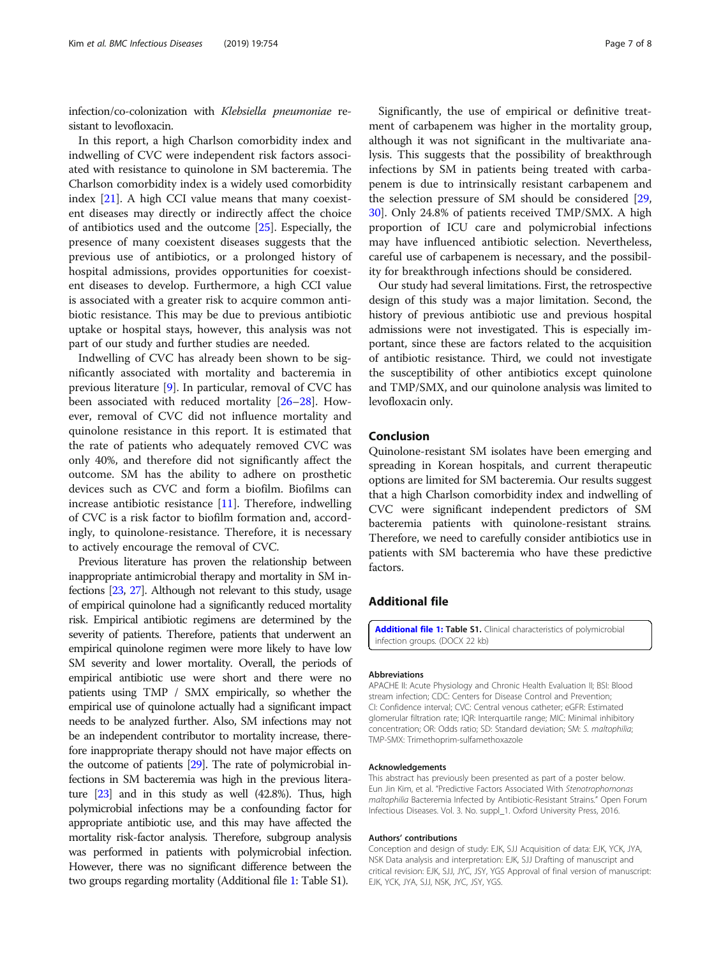infection/co-colonization with Klebsiella pneumoniae resistant to levofloxacin.

In this report, a high Charlson comorbidity index and indwelling of CVC were independent risk factors associated with resistance to quinolone in SM bacteremia. The Charlson comorbidity index is a widely used comorbidity index [\[21\]](#page-7-0). A high CCI value means that many coexistent diseases may directly or indirectly affect the choice of antibiotics used and the outcome [[25](#page-7-0)]. Especially, the presence of many coexistent diseases suggests that the previous use of antibiotics, or a prolonged history of hospital admissions, provides opportunities for coexistent diseases to develop. Furthermore, a high CCI value is associated with a greater risk to acquire common antibiotic resistance. This may be due to previous antibiotic uptake or hospital stays, however, this analysis was not part of our study and further studies are needed.

Indwelling of CVC has already been shown to be significantly associated with mortality and bacteremia in previous literature [[9\]](#page-7-0). In particular, removal of CVC has been associated with reduced mortality [[26](#page-7-0)–[28](#page-7-0)]. However, removal of CVC did not influence mortality and quinolone resistance in this report. It is estimated that the rate of patients who adequately removed CVC was only 40%, and therefore did not significantly affect the outcome. SM has the ability to adhere on prosthetic devices such as CVC and form a biofilm. Biofilms can increase antibiotic resistance  $[11]$  $[11]$ . Therefore, indwelling of CVC is a risk factor to biofilm formation and, accordingly, to quinolone-resistance. Therefore, it is necessary to actively encourage the removal of CVC.

Previous literature has proven the relationship between inappropriate antimicrobial therapy and mortality in SM infections [[23](#page-7-0), [27\]](#page-7-0). Although not relevant to this study, usage of empirical quinolone had a significantly reduced mortality risk. Empirical antibiotic regimens are determined by the severity of patients. Therefore, patients that underwent an empirical quinolone regimen were more likely to have low SM severity and lower mortality. Overall, the periods of empirical antibiotic use were short and there were no patients using TMP / SMX empirically, so whether the empirical use of quinolone actually had a significant impact needs to be analyzed further. Also, SM infections may not be an independent contributor to mortality increase, therefore inappropriate therapy should not have major effects on the outcome of patients [\[29\]](#page-7-0). The rate of polymicrobial infections in SM bacteremia was high in the previous literature [[23\]](#page-7-0) and in this study as well (42.8%). Thus, high polymicrobial infections may be a confounding factor for appropriate antibiotic use, and this may have affected the mortality risk-factor analysis. Therefore, subgroup analysis was performed in patients with polymicrobial infection. However, there was no significant difference between the two groups regarding mortality (Additional file 1: Table S1).

Significantly, the use of empirical or definitive treatment of carbapenem was higher in the mortality group, although it was not significant in the multivariate analysis. This suggests that the possibility of breakthrough infections by SM in patients being treated with carbapenem is due to intrinsically resistant carbapenem and the selection pressure of SM should be considered [[29](#page-7-0), [30\]](#page-7-0). Only 24.8% of patients received TMP/SMX. A high proportion of ICU care and polymicrobial infections may have influenced antibiotic selection. Nevertheless, careful use of carbapenem is necessary, and the possibility for breakthrough infections should be considered.

Our study had several limitations. First, the retrospective design of this study was a major limitation. Second, the history of previous antibiotic use and previous hospital admissions were not investigated. This is especially important, since these are factors related to the acquisition of antibiotic resistance. Third, we could not investigate the susceptibility of other antibiotics except quinolone and TMP/SMX, and our quinolone analysis was limited to levofloxacin only.

### Conclusion

Quinolone-resistant SM isolates have been emerging and spreading in Korean hospitals, and current therapeutic options are limited for SM bacteremia. Our results suggest that a high Charlson comorbidity index and indwelling of CVC were significant independent predictors of SM bacteremia patients with quinolone-resistant strains. Therefore, we need to carefully consider antibiotics use in patients with SM bacteremia who have these predictive factors.

### Additional file

[Additional file 1:](https://doi.org/10.1186/s12879-019-4394-4) Table S1. Clinical characteristics of polymicrobial infection groups. (DOCX 22 kb)

#### Abbreviations

APACHE II: Acute Physiology and Chronic Health Evaluation II; BSI: Blood stream infection; CDC: Centers for Disease Control and Prevention; CI: Confidence interval; CVC: Central venous catheter; eGFR: Estimated glomerular filtration rate; IQR: Interquartile range; MIC: Minimal inhibitory concentration; OR: Odds ratio; SD: Standard deviation; SM: S. maltophilia; TMP-SMX: Trimethoprim-sulfamethoxazole

#### Acknowledgements

This abstract has previously been presented as part of a poster below. Eun Jin Kim, et al. "Predictive Factors Associated With Stenotrophomonas maltophilia Bacteremia Infected by Antibiotic-Resistant Strains." Open Forum Infectious Diseases. Vol. 3. No. suppl\_1. Oxford University Press, 2016.

#### Authors' contributions

Conception and design of study: EJK, SJJ Acquisition of data: EJK, YCK, JYA, NSK Data analysis and interpretation: EJK, SJJ Drafting of manuscript and critical revision: EJK, SJJ, JYC, JSY, YGS Approval of final version of manuscript: EJK, YCK, JYA, SJJ, NSK, JYC, JSY, YGS.